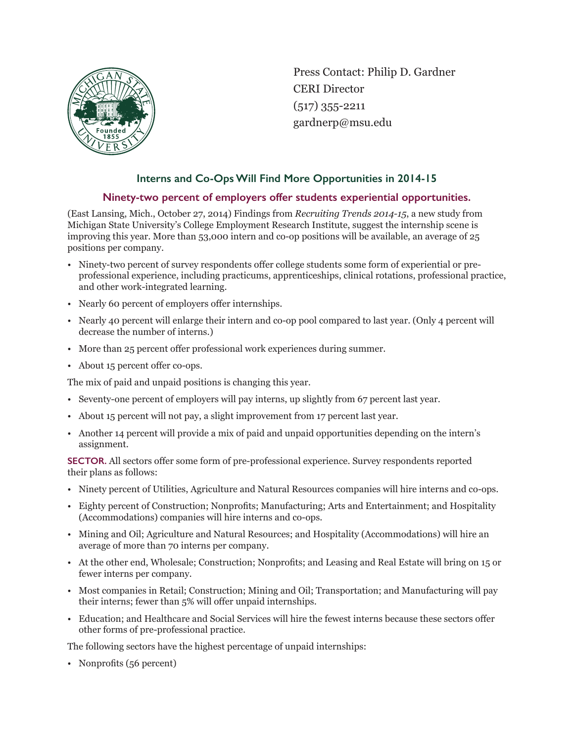

Press Contact: Philip D. Gardner CERI Director (517) 355-2211 gardnerp@msu.edu

## **Interns and Co-Ops Will Find More Opportunities in 2014-15**

## **Ninety-two percent of employers offer students experiential opportunities.**

(East Lansing, Mich., October 27, 2014) Findings from *Recruiting Trends 2014-15*, a new study from Michigan State University's College Employment Research Institute, suggest the internship scene is improving this year. More than 53,000 intern and co-op positions will be available, an average of 25 positions per company.

- • Ninety-two percent of survey respondents offer college students some form of experiential or preprofessional experience, including practicums, apprenticeships, clinical rotations, professional practice, and other work-integrated learning.
- Nearly 60 percent of employers offer internships.
- Nearly 40 percent will enlarge their intern and co-op pool compared to last year. (Only 4 percent will decrease the number of interns.)
- More than 25 percent offer professional work experiences during summer.
- About 15 percent offer co-ops.

The mix of paid and unpaid positions is changing this year.

- Seventy-one percent of employers will pay interns, up slightly from 67 percent last year.
- About 15 percent will not pay, a slight improvement from 17 percent last year.
- • Another 14 percent will provide a mix of paid and unpaid opportunities depending on the intern's assignment.

**SECTOR.** All sectors offer some form of pre-professional experience. Survey respondents reported their plans as follows:

- Ninety percent of Utilities, Agriculture and Natural Resources companies will hire interns and co-ops.
- • Eighty percent of Construction; Nonprofits; Manufacturing; Arts and Entertainment; and Hospitality (Accommodations) companies will hire interns and co-ops.
- • Mining and Oil; Agriculture and Natural Resources; and Hospitality (Accommodations) will hire an average of more than 70 interns per company.
- • At the other end, Wholesale; Construction; Nonprofits; and Leasing and Real Estate will bring on 15 or fewer interns per company.
- Most companies in Retail; Construction; Mining and Oil; Transportation; and Manufacturing will pay their interns; fewer than 5% will offer unpaid internships.
- • Education; and Healthcare and Social Services will hire the fewest interns because these sectors offer other forms of pre-professional practice.

The following sectors have the highest percentage of unpaid internships:

• Nonprofits (56 percent)